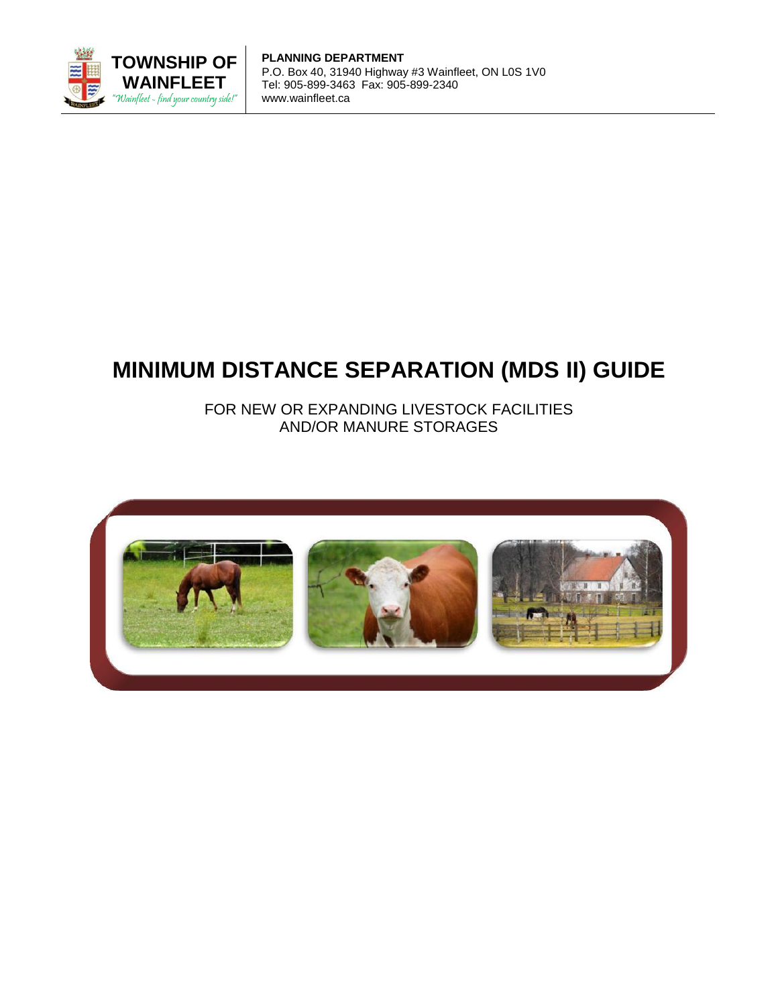

**PLANNING DEPARTMENT** P.O. Box 40, 31940 Highway #3 Wainfleet, ON L0S 1V0 Tel: 905-899-3463 Fax: 905-899-2340 www.wainfleet.ca

# **MINIMUM DISTANCE SEPARATION (MDS II) GUIDE**

FOR NEW OR EXPANDING LIVESTOCK FACILITIES AND/OR MANURE STORAGES

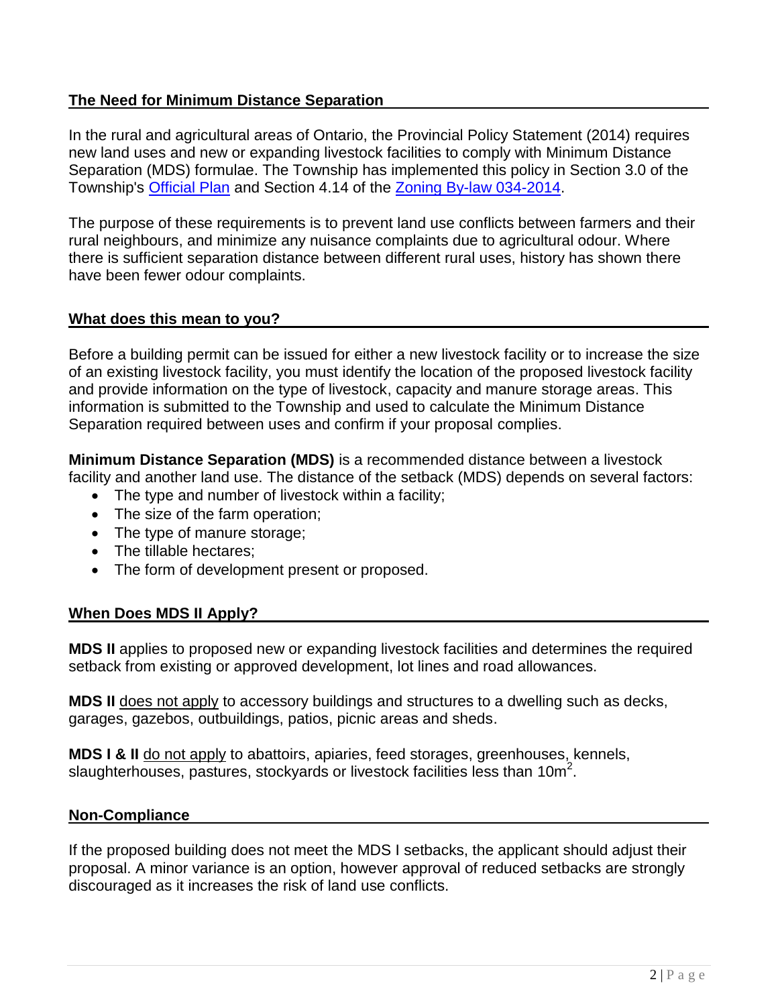# **The Need for Minimum Distance Separation**

In the rural and agricultural areas of Ontario, the Provincial Policy Statement (2014) requires new land uses and new or expanding livestock facilities to comply with Minimum Distance Separation (MDS) formulae. The Township has implemented this policy in Section 3.0 of the Township's [Official Plan](http://wainfleet.ca/official-plan) and Section 4.14 of the [Zoning By-law 034-2014.](http://wainfleet.ca/zoning-bylaw)

The purpose of these requirements is to prevent land use conflicts between farmers and their rural neighbours, and minimize any nuisance complaints due to agricultural odour. Where there is sufficient separation distance between different rural uses, history has shown there have been fewer odour complaints.

# **What does this mean to you?**

Before a building permit can be issued for either a new livestock facility or to increase the size of an existing livestock facility, you must identify the location of the proposed livestock facility and provide information on the type of livestock, capacity and manure storage areas. This information is submitted to the Township and used to calculate the Minimum Distance Separation required between uses and confirm if your proposal complies.

**Minimum Distance Separation (MDS)** is a recommended distance between a livestock facility and another land use. The distance of the setback (MDS) depends on several factors:

- The type and number of livestock within a facility;
- The size of the farm operation;
- The type of manure storage;
- The tillable hectares;
- The form of development present or proposed.

# **When Does MDS II Apply?**

**MDS II** applies to proposed new or expanding livestock facilities and determines the required setback from existing or approved development, lot lines and road allowances.

**MDS II** does not apply to accessory buildings and structures to a dwelling such as decks, garages, gazebos, outbuildings, patios, picnic areas and sheds.

**MDS I & II** do not apply to abattoirs, apiaries, feed storages, greenhouses, kennels, slaughterhouses, pastures, stockyards or livestock facilities less than  $10m^2$ .

#### **Non-Compliance**

If the proposed building does not meet the MDS I setbacks, the applicant should adjust their proposal. A minor variance is an option, however approval of reduced setbacks are strongly discouraged as it increases the risk of land use conflicts.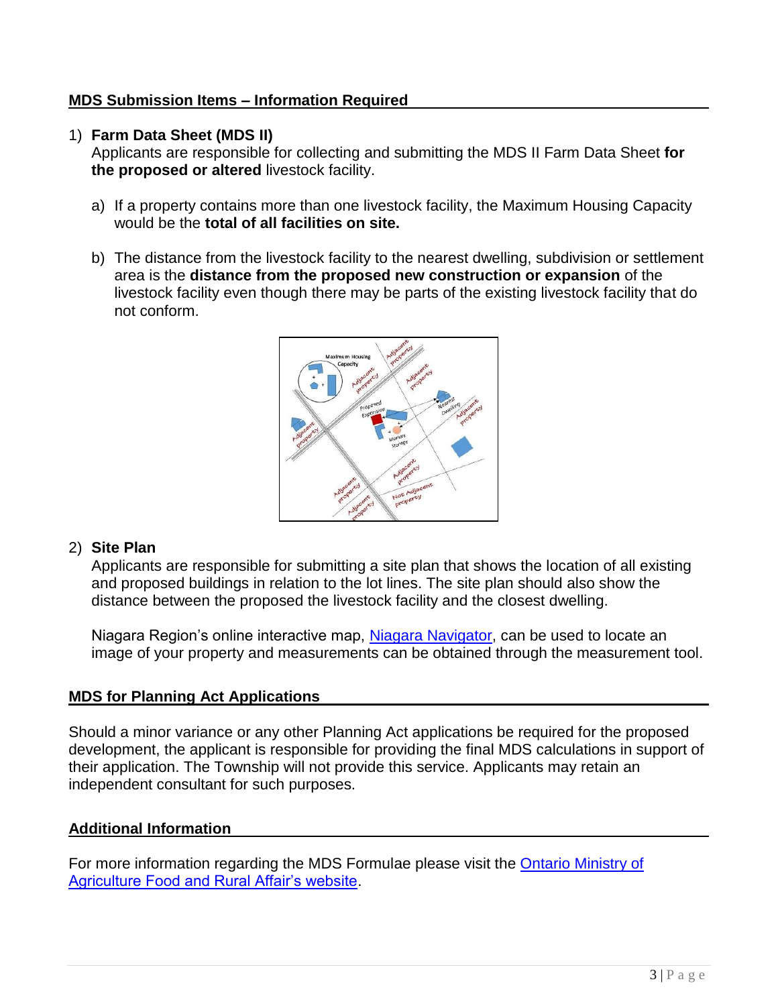# **MDS Submission Items – Information Required**

#### 1) **Farm Data Sheet (MDS II)**

Applicants are responsible for collecting and submitting the MDS II Farm Data Sheet **for the proposed or altered** livestock facility.

- a) If a property contains more than one livestock facility, the Maximum Housing Capacity would be the **total of all facilities on site.**
- b) The distance from the livestock facility to the nearest dwelling, subdivision or settlement area is the **distance from the proposed new construction or expansion** of the livestock facility even though there may be parts of the existing livestock facility that do not conform.



# 2) **Site Plan**

Applicants are responsible for submitting a site plan that shows the location of all existing and proposed buildings in relation to the lot lines. The site plan should also show the distance between the proposed the livestock facility and the closest dwelling.

Niagara Region's online interactive map, [Niagara Navigator,](https://www.niagararegion.ca/exploring/navigator.aspx) can be used to locate an image of your property and measurements can be obtained through the measurement tool.

# **MDS for Planning Act Applications**

Should a minor variance or any other Planning Act applications be required for the proposed development, the applicant is responsible for providing the final MDS calculations in support of their application. The Township will not provide this service. Applicants may retain an independent consultant for such purposes.

#### **Additional Information**

For more information regarding the MDS Formulae please visit the Ontario Ministry of [Agriculture Food and Rural Affair's website.](http://www.omafra.gov.on.ca/english/landuse/mds.htm)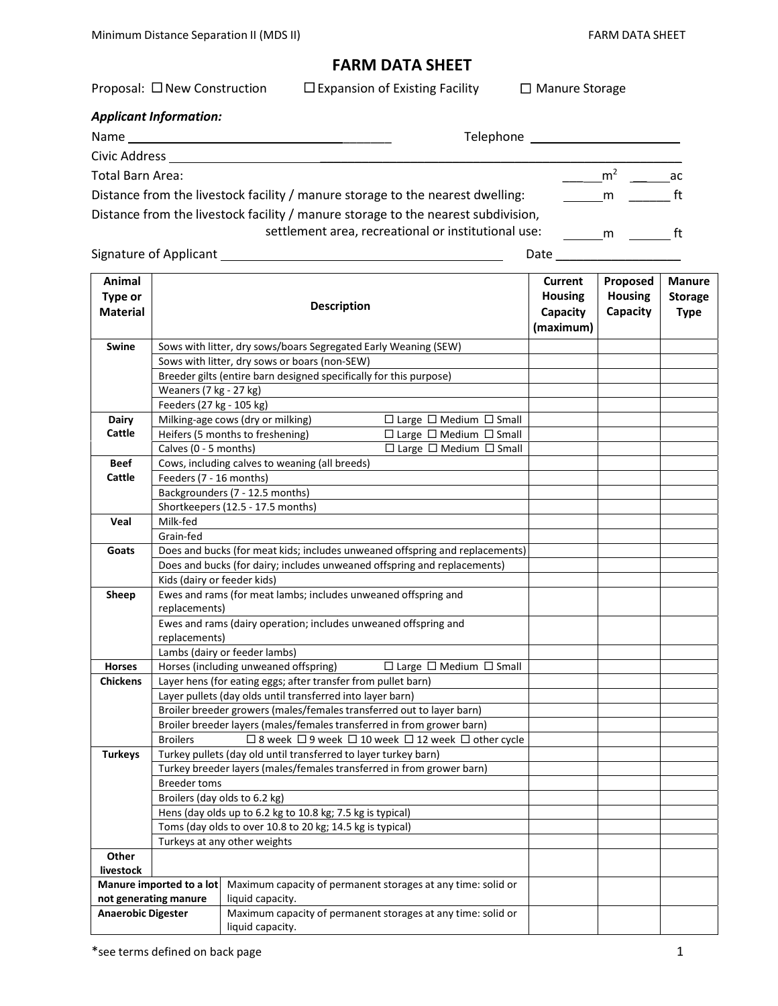# **FARM DATA SHEET**

| Proposal: $\square$ New Construction                                           | $\Box$ Expansion of Existing Facility                                             | $\Box$ Manure Storage |    |
|--------------------------------------------------------------------------------|-----------------------------------------------------------------------------------|-----------------------|----|
| <b>Applicant Information:</b>                                                  |                                                                                   |                       |    |
| Name<br>Telephone                                                              |                                                                                   |                       |    |
| Civic Address                                                                  |                                                                                   |                       |    |
| Total Barn Area:                                                               |                                                                                   | m <sup>2</sup>        | ac |
| Distance from the livestock facility / manure storage to the nearest dwelling: | m                                                                                 | ft                    |    |
|                                                                                | Distance from the livestock facility / manure storage to the nearest subdivision, |                       |    |
|                                                                                | settlement area, recreational or institutional use:                               | m                     | ft |

Signature of Applicant Date \_\_\_\_\_\_\_\_\_\_\_\_\_\_\_\_\_\_

| Animal                    |                                                                                                                                           |                                                                              | <b>Current</b> | Proposed       | <b>Manure</b> |  |  |
|---------------------------|-------------------------------------------------------------------------------------------------------------------------------------------|------------------------------------------------------------------------------|----------------|----------------|---------------|--|--|
| Type or                   |                                                                                                                                           | <b>Housing</b>                                                               | <b>Housing</b> | <b>Storage</b> |               |  |  |
| <b>Material</b>           |                                                                                                                                           | <b>Description</b>                                                           | Capacity       | Capacity       | <b>Type</b>   |  |  |
|                           |                                                                                                                                           |                                                                              | (maximum)      |                |               |  |  |
| <b>Swine</b>              | Sows with litter, dry sows/boars Segregated Early Weaning (SEW)                                                                           |                                                                              |                |                |               |  |  |
|                           |                                                                                                                                           | Sows with litter, dry sows or boars (non-SEW)                                |                |                |               |  |  |
|                           |                                                                                                                                           | Breeder gilts (entire barn designed specifically for this purpose)           |                |                |               |  |  |
|                           | Weaners (7 kg - 27 kg)                                                                                                                    |                                                                              |                |                |               |  |  |
|                           | Feeders (27 kg - 105 kg)                                                                                                                  |                                                                              |                |                |               |  |  |
| <b>Dairy</b>              |                                                                                                                                           | Milking-age cows (dry or milking)<br>$\Box$ Large $\Box$ Medium $\Box$ Small |                |                |               |  |  |
| Cattle                    |                                                                                                                                           | Heifers (5 months to freshening)<br>$\Box$ Large $\Box$ Medium $\Box$ Small  |                |                |               |  |  |
|                           | Calves (0 - 5 months)                                                                                                                     | $\Box$ Large $\Box$ Medium $\Box$ Small                                      |                |                |               |  |  |
| <b>Beef</b>               | Cows, including calves to weaning (all breeds)                                                                                            |                                                                              |                |                |               |  |  |
| Cattle                    | Feeders (7 - 16 months)                                                                                                                   |                                                                              |                |                |               |  |  |
|                           |                                                                                                                                           | Backgrounders (7 - 12.5 months)                                              |                |                |               |  |  |
|                           |                                                                                                                                           | Shortkeepers (12.5 - 17.5 months)                                            |                |                |               |  |  |
| Veal                      | Milk-fed                                                                                                                                  |                                                                              |                |                |               |  |  |
|                           | Grain-fed                                                                                                                                 |                                                                              |                |                |               |  |  |
| Goats                     |                                                                                                                                           | Does and bucks (for meat kids; includes unweaned offspring and replacements) |                |                |               |  |  |
|                           |                                                                                                                                           | Does and bucks (for dairy; includes unweaned offspring and replacements)     |                |                |               |  |  |
|                           | Kids (dairy or feeder kids)                                                                                                               |                                                                              |                |                |               |  |  |
| Sheep                     |                                                                                                                                           | Ewes and rams (for meat lambs; includes unweaned offspring and               |                |                |               |  |  |
|                           | replacements)                                                                                                                             |                                                                              |                |                |               |  |  |
|                           | Ewes and rams (dairy operation; includes unweaned offspring and                                                                           |                                                                              |                |                |               |  |  |
|                           | replacements)                                                                                                                             |                                                                              |                |                |               |  |  |
|                           | Lambs (dairy or feeder lambs)                                                                                                             |                                                                              |                |                |               |  |  |
| <b>Horses</b>             | Horses (including unweaned offspring)<br>$\Box$ Large $\Box$ Medium $\Box$ Small                                                          |                                                                              |                |                |               |  |  |
| <b>Chickens</b>           | Layer hens (for eating eggs; after transfer from pullet barn)<br>Layer pullets (day olds until transferred into layer barn)               |                                                                              |                |                |               |  |  |
|                           |                                                                                                                                           |                                                                              |                |                |               |  |  |
|                           | Broiler breeder growers (males/females transferred out to layer barn)                                                                     |                                                                              |                |                |               |  |  |
|                           |                                                                                                                                           | Broiler breeder layers (males/females transferred in from grower barn)       |                |                |               |  |  |
|                           | □ 8 week □ 9 week □ 10 week □ 12 week □ other cycle<br><b>Broilers</b><br>Turkey pullets (day old until transferred to layer turkey barn) |                                                                              |                |                |               |  |  |
| <b>Turkeys</b>            |                                                                                                                                           |                                                                              |                |                |               |  |  |
|                           | Turkey breeder layers (males/females transferred in from grower barn)                                                                     |                                                                              |                |                |               |  |  |
|                           | <b>Breeder toms</b>                                                                                                                       |                                                                              |                |                |               |  |  |
|                           | Broilers (day olds to 6.2 kg)<br>Hens (day olds up to 6.2 kg to 10.8 kg; 7.5 kg is typical)                                               |                                                                              |                |                |               |  |  |
|                           |                                                                                                                                           |                                                                              |                |                |               |  |  |
|                           | Toms (day olds to over 10.8 to 20 kg; 14.5 kg is typical)<br>Turkeys at any other weights                                                 |                                                                              |                |                |               |  |  |
| Other                     |                                                                                                                                           |                                                                              |                |                |               |  |  |
| livestock                 |                                                                                                                                           |                                                                              |                |                |               |  |  |
| Manure imported to a lot  |                                                                                                                                           | Maximum capacity of permanent storages at any time: solid or                 |                |                |               |  |  |
| not generating manure     |                                                                                                                                           | liquid capacity.                                                             |                |                |               |  |  |
| <b>Anaerobic Digester</b> |                                                                                                                                           | Maximum capacity of permanent storages at any time: solid or                 |                |                |               |  |  |
|                           |                                                                                                                                           | liquid capacity.                                                             |                |                |               |  |  |